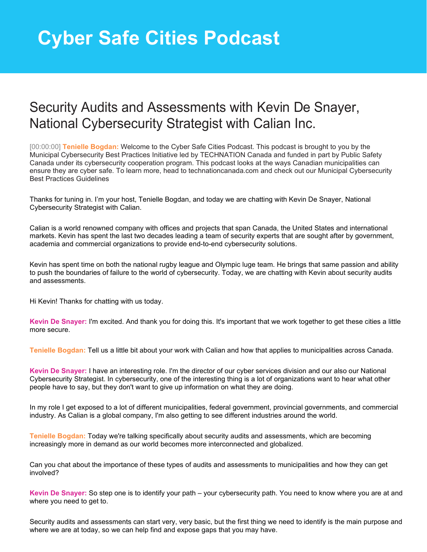## **Cyber Safe Cities Podcast**

## Security Audits and Assessments with Kevin De Snayer, National Cybersecurity Strategist with Calian Inc.

[00:00:00] **Tenielle Bogdan:** Welcome to the Cyber Safe Cities Podcast. This podcast is brought to you by the Municipal Cybersecurity Best Practices Initiative led by TECHNATION Canada and funded in part by Public Safety Canada under its cybersecurity cooperation program. This podcast looks at the ways Canadian municipalities can ensure they are cyber safe. To learn more, head to technationcanada.com and check out our Municipal Cybersecurity Best Practices Guidelines

Thanks for tuning in. I'm your host, Tenielle Bogdan, and today we are chatting with Kevin De Snayer, National Cybersecurity Strategist with Calian.

Calian is a world renowned company with offices and projects that span Canada, the United States and international markets. Kevin has spent the last two decades leading a team of security experts that are sought after by government, academia and commercial organizations to provide end-to-end cybersecurity solutions.

Kevin has spent time on both the national rugby league and Olympic luge team. He brings that same passion and ability to push the boundaries of failure to the world of cybersecurity. Today, we are chatting with Kevin about security audits and assessments.

Hi Kevin! Thanks for chatting with us today.

**Kevin De Snayer:** I'm excited. And thank you for doing this. It's important that we work together to get these cities a little more secure.

**Tenielle Bogdan:** Tell us a little bit about your work with Calian and how that applies to municipalities across Canada.

**Kevin De Snayer:** I have an interesting role. I'm the director of our cyber services division and our also our National Cybersecurity Strategist. In cybersecurity, one of the interesting thing is a lot of organizations want to hear what other people have to say, but they don't want to give up information on what they are doing.

In my role I get exposed to a lot of different municipalities, federal government, provincial governments, and commercial industry. As Calian is a global company, I'm also getting to see different industries around the world.

**Tenielle Bogdan:** Today we're talking specifically about security audits and assessments, which are becoming increasingly more in demand as our world becomes more interconnected and globalized.

Can you chat about the importance of these types of audits and assessments to municipalities and how they can get involved?

**Kevin De Snayer:** So step one is to identify your path – your cybersecurity path. You need to know where you are at and where you need to get to.

Security audits and assessments can start very, very basic, but the first thing we need to identify is the main purpose and where we are at today, so we can help find and expose gaps that you may have.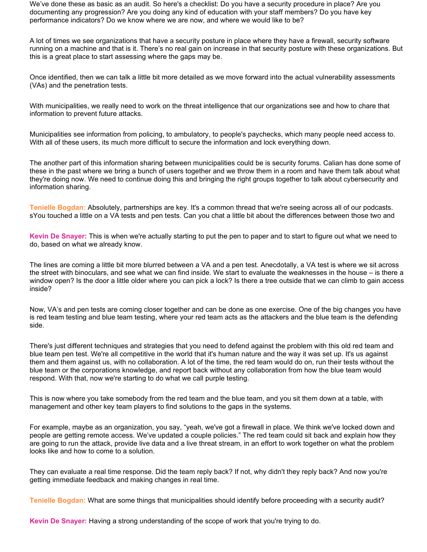We've done these as basic as an audit. So here's a checklist: Do you have a security procedure in place? Are you documenting any progression? Are you doing any kind of education with your staff members? Do you have key performance indicators? Do we know where we are now, and where we would like to be?

A lot of times we see organizations that have a security posture in place where they have a firewall, security software running on a machine and that is it. There's no real gain on increase in that security posture with these organizations. But this is a great place to start assessing where the gaps may be.

Once identified, then we can talk a little bit more detailed as we move forward into the actual vulnerability assessments (VAs) and the penetration tests.

With municipalities, we really need to work on the threat intelligence that our organizations see and how to chare that information to prevent future attacks.

Municipalities see information from policing, to ambulatory, to people's paychecks, which many people need access to. With all of these users, its much more difficult to secure the information and lock everything down.

The another part of this information sharing between municipalities could be is security forums. Calian has done some of these in the past where we bring a bunch of users together and we throw them in a room and have them talk about what they're doing now. We need to continue doing this and bringing the right groups together to talk about cybersecurity and information sharing.

**Tenielle Bogdan:** Absolutely, partnerships are key. It's a common thread that we're seeing across all of our podcasts. sYou touched a little on a VA tests and pen tests. Can you chat a little bit about the differences between those two and

**Kevin De Snayer:** This is when we're actually starting to put the pen to paper and to start to figure out what we need to do, based on what we already know.

The lines are coming a little bit more blurred between a VA and a pen test. Anecdotally, a VA test is where we sit across the street with binoculars, and see what we can find inside. We start to evaluate the weaknesses in the house – is there a window open? Is the door a little older where you can pick a lock? Is there a tree outside that we can climb to gain access inside?

Now, VA's and pen tests are coming closer together and can be done as one exercise. One of the big changes you have is red team testing and blue team testing, where your red team acts as the attackers and the blue team is the defending side.

There's just different techniques and strategies that you need to defend against the problem with this old red team and blue team pen test. We're all competitive in the world that it's human nature and the way it was set up. It's us against them and them against us, with no collaboration. A lot of the time, the red team would do on, run their tests without the blue team or the corporations knowledge, and report back without any collaboration from how the blue team would respond. With that, now we're starting to do what we call purple testing.

This is now where you take somebody from the red team and the blue team, and you sit them down at a table, with management and other key team players to find solutions to the gaps in the systems.

For example, maybe as an organization, you say, "yeah, we've got a firewall in place. We think we've locked down and people are getting remote access. We've updated a couple policies." The red team could sit back and explain how they are going to run the attack, provide live data and a live threat stream, in an effort to work together on what the problem looks like and how to come to a solution.

They can evaluate a real time response. Did the team reply back? If not, why didn't they reply back? And now you're getting immediate feedback and making changes in real time.

**Tenielle Bogdan:** What are some things that municipalities should identify before proceeding with a security audit?

**Kevin De Snayer:** Having a strong understanding of the scope of work that you're trying to do.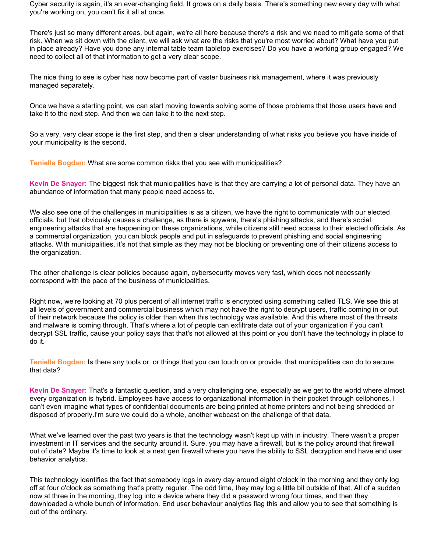Cyber security is again, it's an ever-changing field. It grows on a daily basis. There's something new every day with what you're working on, you can't fix it all at once.

There's just so many different areas, but again, we're all here because there's a risk and we need to mitigate some of that risk. When we sit down with the client, we will ask what are the risks that you're most worried about? What have you put in place already? Have you done any internal table team tabletop exercises? Do you have a working group engaged? We need to collect all of that information to get a very clear scope.

The nice thing to see is cyber has now become part of vaster business risk management, where it was previously managed separately.

Once we have a starting point, we can start moving towards solving some of those problems that those users have and take it to the next step. And then we can take it to the next step.

So a very, very clear scope is the first step, and then a clear understanding of what risks you believe you have inside of your municipality is the second.

**Tenielle Bogdan:** What are some common risks that you see with municipalities?

**Kevin De Snayer:** The biggest risk that municipalities have is that they are carrying a lot of personal data. They have an abundance of information that many people need access to.

We also see one of the challenges in municipalities is as a citizen, we have the right to communicate with our elected officials, but that obviously causes a challenge, as there is spyware, there's phishing attacks, and there's social engineering attacks that are happening on these organizations, while citizens still need access to their elected officials. As a commercial organization, you can block people and put in safeguards to prevent phishing and social engineering attacks. With municipalities, it's not that simple as they may not be blocking or preventing one of their citizens access to the organization.

The other challenge is clear policies because again, cybersecurity moves very fast, which does not necessarily correspond with the pace of the business of municipalities.

Right now, we're looking at 70 plus percent of all internet traffic is encrypted using something called TLS. We see this at all levels of government and commercial business which may not have the right to decrypt users, traffic coming in or out of their network because the policy is older than when this technology was available. And this where most of the threats and malware is coming through. That's where a lot of people can exfiltrate data out of your organization if you can't decrypt SSL traffic, cause your policy says that that's not allowed at this point or you don't have the technology in place to do it.

**Tenielle Bogdan:** Is there any tools or, or things that you can touch on or provide, that municipalities can do to secure that data?

**Kevin De Snayer:** That's a fantastic question, and a very challenging one, especially as we get to the world where almost every organization is hybrid. Employees have access to organizational information in their pocket through cellphones. I can't even imagine what types of confidential documents are being printed at home printers and not being shredded or disposed of properly.I'm sure we could do a whole, another webcast on the challenge of that data.

What we've learned over the past two years is that the technology wasn't kept up with in industry. There wasn't a proper investment in IT services and the security around it. Sure, you may have a firewall, but is the policy around that firewall out of date? Maybe it's time to look at a next gen firewall where you have the ability to SSL decryption and have end user behavior analytics.

This technology identifies the fact that somebody logs in every day around eight o'clock in the morning and they only log off at four o'clock as something that's pretty regular. The odd time, they may log a little bit outside of that. All of a sudden now at three in the morning, they log into a device where they did a password wrong four times, and then they downloaded a whole bunch of information. End user behaviour analytics flag this and allow you to see that something is out of the ordinary.